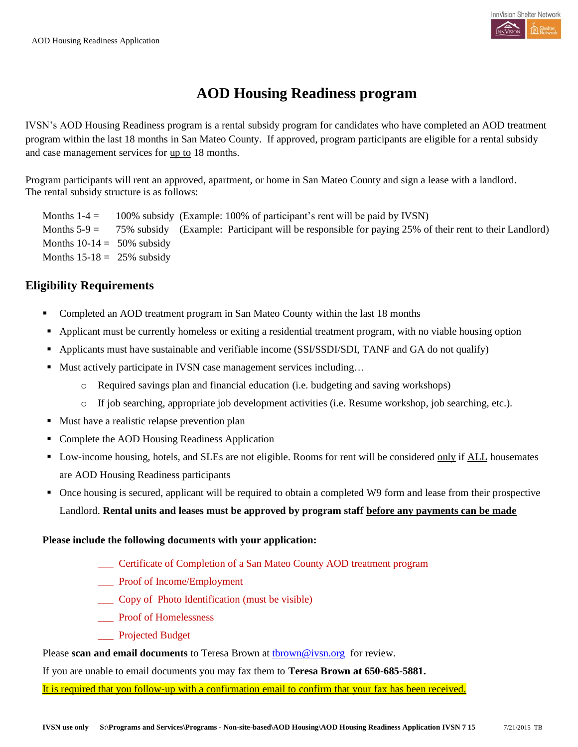

## **AOD Housing Readiness program**

IVSN's AOD Housing Readiness program is a rental subsidy program for candidates who have completed an AOD treatment program within the last 18 months in San Mateo County. If approved, program participants are eligible for a rental subsidy and case management services for up to 18 months.

Program participants will rent an approved, apartment, or home in San Mateo County and sign a lease with a landlord. The rental subsidy structure is as follows:

Months  $1-4 = 100\%$  subsidy (Example: 100% of participant's rent will be paid by IVSN) Months  $5-9 = 75\%$  subsidy (Example: Participant will be responsible for paying 25% of their rent to their Landlord) Months  $10-14 = 50\%$  subsidy Months  $15-18 = 25\%$  subsidy

#### **Eligibility Requirements**

- Completed an AOD treatment program in San Mateo County within the last 18 months
- Applicant must be currently homeless or exiting a residential treatment program, with no viable housing option
- Applicants must have sustainable and verifiable income (SSI/SSDI/SDI, TANF and GA do not qualify)
- Must actively participate in IVSN case management services including...
	- o Required savings plan and financial education (i.e. budgeting and saving workshops)
	- o If job searching, appropriate job development activities (i.e. Resume workshop, job searching, etc.).
- Must have a realistic relapse prevention plan
- Complete the AOD Housing Readiness Application
- Low-income housing, hotels, and SLEs are not eligible. Rooms for rent will be considered only if ALL housemates are AOD Housing Readiness participants
- Once housing is secured, applicant will be required to obtain a completed W9 form and lease from their prospective Landlord. **Rental units and leases must be approved by program staff before any payments can be made**

#### **Please include the following documents with your application:**

- \_\_\_ Certificate of Completion of a San Mateo County AOD treatment program
- \_\_\_ Proof of Income/Employment
- \_\_\_ Copy of Photo Identification (must be visible)
- \_\_\_ Proof of Homelessness
- Projected Budget

Please **scan and email documents** to Teresa Brown at **thrown@ivsn.org** for review.

If you are unable to email documents you may fax them to **Teresa Brown at 650-685-5881.**

It is required that you follow-up with a confirmation email to confirm that your fax has been received.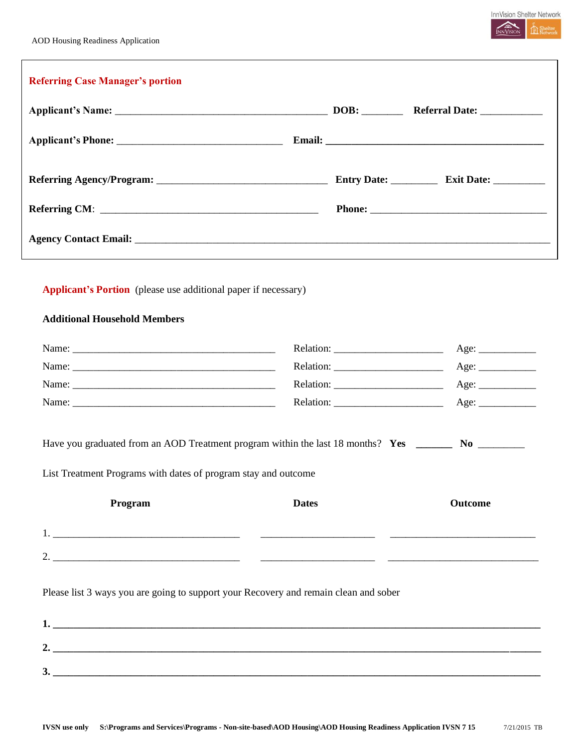

| <b>Applicant's Portion</b> (please use additional paper if necessary)                                    |                                                                                                                                                                                                                                                                                                                                                                                                                                                                                                                                                                      |         |
|----------------------------------------------------------------------------------------------------------|----------------------------------------------------------------------------------------------------------------------------------------------------------------------------------------------------------------------------------------------------------------------------------------------------------------------------------------------------------------------------------------------------------------------------------------------------------------------------------------------------------------------------------------------------------------------|---------|
|                                                                                                          |                                                                                                                                                                                                                                                                                                                                                                                                                                                                                                                                                                      |         |
| <b>Additional Household Members</b>                                                                      |                                                                                                                                                                                                                                                                                                                                                                                                                                                                                                                                                                      |         |
|                                                                                                          |                                                                                                                                                                                                                                                                                                                                                                                                                                                                                                                                                                      | Age:    |
|                                                                                                          |                                                                                                                                                                                                                                                                                                                                                                                                                                                                                                                                                                      |         |
|                                                                                                          | Relation: $\frac{1}{\sqrt{1-\frac{1}{2}} \cdot \frac{1}{2}}$                                                                                                                                                                                                                                                                                                                                                                                                                                                                                                         |         |
|                                                                                                          | $\text{Relation:}\n \underline{\hspace{2cm}}\n \underline{\hspace{2cm}}\n \underline{\hspace{2cm}}\n \underline{\hspace{2cm}}\n \underline{\hspace{2cm}}\n \underline{\hspace{2cm}}\n \underline{\hspace{2cm}}\n \underline{\hspace{2cm}}\n \underline{\hspace{2cm}}\n \underline{\hspace{2cm}}\n \underline{\hspace{2cm}}\n \underline{\hspace{2cm}}\n \underline{\hspace{2cm}}\n \underline{\hspace{2cm}}\n \underline{\hspace{2cm}}\n \underline{\hspace{2cm}}\n \underline{\hspace{2cm}}\n \underline{\hspace{2cm}}\n \underline{\hspace{2cm}}\n \underline{\hs$ | Age:    |
| Have you graduated from an AOD Treatment program within the last 18 months? Yes __________ No __________ |                                                                                                                                                                                                                                                                                                                                                                                                                                                                                                                                                                      |         |
| List Treatment Programs with dates of program stay and outcome                                           |                                                                                                                                                                                                                                                                                                                                                                                                                                                                                                                                                                      |         |
|                                                                                                          |                                                                                                                                                                                                                                                                                                                                                                                                                                                                                                                                                                      |         |
|                                                                                                          | <b>Dates</b>                                                                                                                                                                                                                                                                                                                                                                                                                                                                                                                                                         | Outcome |
| Program                                                                                                  |                                                                                                                                                                                                                                                                                                                                                                                                                                                                                                                                                                      |         |
|                                                                                                          |                                                                                                                                                                                                                                                                                                                                                                                                                                                                                                                                                                      |         |
|                                                                                                          |                                                                                                                                                                                                                                                                                                                                                                                                                                                                                                                                                                      |         |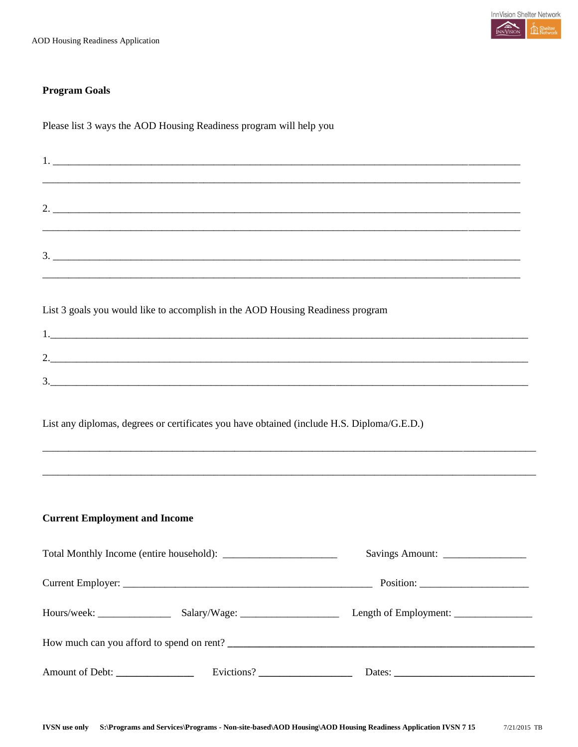#### **Program Goals**

Please list 3 ways the AOD Housing Readiness program will help you

|                                                                                            |  | <u> 1980 - John Stoff, deutscher Stoff, der Stoff, der Stoff, der Stoff, der Stoff, der Stoff, der Stoff, der Sto</u> |  |  |
|--------------------------------------------------------------------------------------------|--|-----------------------------------------------------------------------------------------------------------------------|--|--|
|                                                                                            |  | <u> 1990 - Johann Barn, amerikan bandar dan bertukan bandar dalam bertukan bertukan bertukan bertukan bandar dala</u> |  |  |
| List 3 goals you would like to accomplish in the AOD Housing Readiness program             |  |                                                                                                                       |  |  |
|                                                                                            |  |                                                                                                                       |  |  |
|                                                                                            |  |                                                                                                                       |  |  |
| List any diplomas, degrees or certificates you have obtained (include H.S. Diploma/G.E.D.) |  |                                                                                                                       |  |  |
| <b>Current Employment and Income</b>                                                       |  |                                                                                                                       |  |  |
|                                                                                            |  | Savings Amount: __________________                                                                                    |  |  |
|                                                                                            |  |                                                                                                                       |  |  |
|                                                                                            |  |                                                                                                                       |  |  |
|                                                                                            |  |                                                                                                                       |  |  |
| Amount of Debt: ______________                                                             |  |                                                                                                                       |  |  |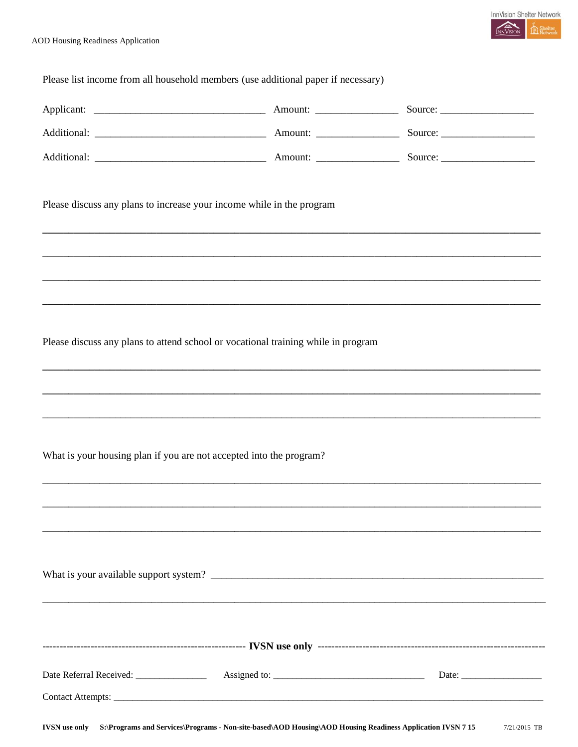

| Please list income from all household members (use additional paper if necessary) |                                                                                                                      |
|-----------------------------------------------------------------------------------|----------------------------------------------------------------------------------------------------------------------|
|                                                                                   |                                                                                                                      |
|                                                                                   |                                                                                                                      |
|                                                                                   |                                                                                                                      |
| Please discuss any plans to increase your income while in the program             |                                                                                                                      |
|                                                                                   |                                                                                                                      |
|                                                                                   |                                                                                                                      |
| Please discuss any plans to attend school or vocational training while in program |                                                                                                                      |
|                                                                                   |                                                                                                                      |
|                                                                                   |                                                                                                                      |
| What is your housing plan if you are not accepted into the program?               |                                                                                                                      |
|                                                                                   |                                                                                                                      |
|                                                                                   |                                                                                                                      |
|                                                                                   |                                                                                                                      |
|                                                                                   | <u> 2000 - 2000 - 2000 - 2000 - 2000 - 2000 - 2000 - 2000 - 2000 - 2000 - 2000 - 2000 - 2000 - 2000 - 2000 - 200</u> |
|                                                                                   |                                                                                                                      |
|                                                                                   | Date: $\frac{1}{\sqrt{1-\frac{1}{2}} \cdot \frac{1}{2}}$                                                             |
|                                                                                   |                                                                                                                      |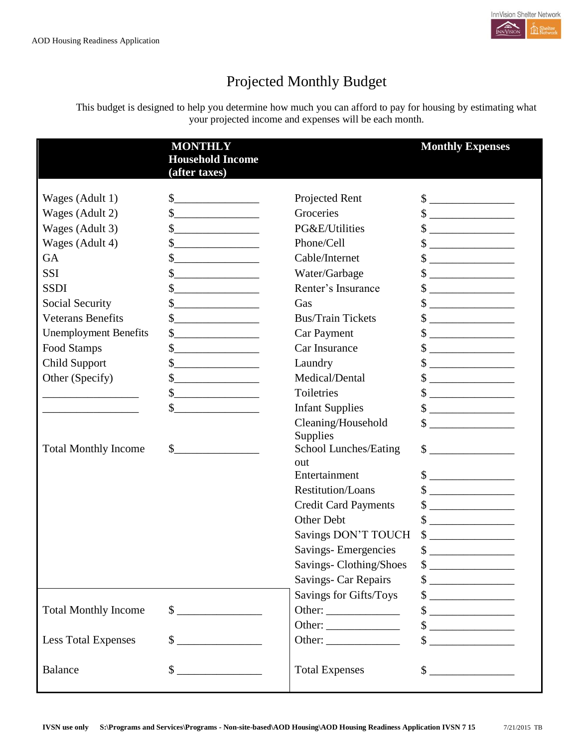

# Projected Monthly Budget

This budget is designed to help you determine how much you can afford to pay for housing by estimating what your projected income and expenses will be each month.

|                              | <b>MONTHLY</b><br><b>Household Income</b><br>(after taxes)                               |                                                                | <b>Monthly Expenses</b>                                                                                                                                                                                                                                                                                                                             |
|------------------------------|------------------------------------------------------------------------------------------|----------------------------------------------------------------|-----------------------------------------------------------------------------------------------------------------------------------------------------------------------------------------------------------------------------------------------------------------------------------------------------------------------------------------------------|
| Wages (Adult 1)              | $\frac{1}{2}$                                                                            | Projected Rent                                                 | $\qquad \qquad \$$                                                                                                                                                                                                                                                                                                                                  |
| Wages (Adult 2)              | $\frac{\text{S}}{\text{S}}$                                                              | Groceries                                                      | $\sim$                                                                                                                                                                                                                                                                                                                                              |
| Wages (Adult 3)              | $\begin{array}{c c} \n\multicolumn{3}{c }{\textbf{\textcolor{red}{\bf S}}}\n\end{array}$ | PG&E/Utilities                                                 | $\qquad \qquad \text{\normalsize $s$} \underline{\qquad \qquad }$                                                                                                                                                                                                                                                                                   |
| Wages (Adult 4)              | $\frac{\text{S}}{\text{S}}$                                                              | Phone/Cell                                                     | $\frac{\text{S}}{\text{S}}$                                                                                                                                                                                                                                                                                                                         |
| GA                           | $\sim$ $\sim$                                                                            | Cable/Internet                                                 | $\sim$                                                                                                                                                                                                                                                                                                                                              |
| <b>SSI</b>                   | s                                                                                        | Water/Garbage                                                  | $\qquad \qquad \, \text{\bf $s$}\; \underline{\hspace{10mm}}$                                                                                                                                                                                                                                                                                       |
| <b>SSDI</b>                  |                                                                                          | Renter's Insurance                                             | $\frac{1}{2}$                                                                                                                                                                                                                                                                                                                                       |
| Social Security              |                                                                                          | Gas                                                            | $\qquad \qquad \text{\normalsize $s$} \underline{\qquad \qquad \qquad }$                                                                                                                                                                                                                                                                            |
| <b>Veterans Benefits</b>     |                                                                                          | <b>Bus/Train Tickets</b>                                       | $\qquad \qquad \text{\normalsize $s$} \underline{\qquad \qquad \qquad }$                                                                                                                                                                                                                                                                            |
| <b>Unemployment Benefits</b> | $\frac{1}{2}$                                                                            | Car Payment                                                    | $\begin{picture}(20,10) \put(0,0){\line(1,0){10}} \put(15,0){\line(1,0){10}} \put(15,0){\line(1,0){10}} \put(15,0){\line(1,0){10}} \put(15,0){\line(1,0){10}} \put(15,0){\line(1,0){10}} \put(15,0){\line(1,0){10}} \put(15,0){\line(1,0){10}} \put(15,0){\line(1,0){10}} \put(15,0){\line(1,0){10}} \put(15,0){\line(1,0){10}} \put(15,0){\line(1$ |
| Food Stamps                  | $\frac{\text{S}}{\text{S}}$                                                              | Car Insurance                                                  | $\qquad \qquad \, \text{\bf $s$}\; \underline{\hspace{10mm}}$                                                                                                                                                                                                                                                                                       |
| Child Support                | $\frac{1}{2}$                                                                            | Laundry                                                        | $\frac{1}{2}$                                                                                                                                                                                                                                                                                                                                       |
| Other (Specify)              | $\frac{1}{2}$                                                                            | Medical/Dental                                                 | $\frac{1}{2}$                                                                                                                                                                                                                                                                                                                                       |
|                              | $\frac{1}{2}$                                                                            | Toiletries                                                     | $\qquad \qquad \, \text{\bf $s$}\; \underline{\hspace{10mm}}$                                                                                                                                                                                                                                                                                       |
|                              | $\frac{\text{S}}{\text{S}}$                                                              | <b>Infant Supplies</b>                                         | $\frac{\text{S}}{\text{S}}$                                                                                                                                                                                                                                                                                                                         |
| <b>Total Monthly Income</b>  | $\frac{1}{2}$                                                                            | Cleaning/Household<br><b>Supplies</b><br>School Lunches/Eating | $\sim$<br>$\frac{\text{S}}{\text{S}}$                                                                                                                                                                                                                                                                                                               |
|                              |                                                                                          | out                                                            |                                                                                                                                                                                                                                                                                                                                                     |
|                              |                                                                                          | Entertainment                                                  | $\frac{\text{S}}{\text{S}}$                                                                                                                                                                                                                                                                                                                         |
|                              |                                                                                          | <b>Restitution/Loans</b>                                       | $\sim$                                                                                                                                                                                                                                                                                                                                              |
|                              |                                                                                          | <b>Credit Card Payments</b>                                    | $\frac{\text{S}}{\text{S}}$                                                                                                                                                                                                                                                                                                                         |
|                              |                                                                                          | Other Debt                                                     | $\qquad \qquad \, \textcolor{red}{\textbf{\$}} \textcolor{red}{\overbrace{\qquad \qquad \qquad }} \textcolor{red}{\textbf{\$}}$                                                                                                                                                                                                                     |
|                              |                                                                                          | Savings DON'T TOUCH                                            | $\frac{1}{2}$                                                                                                                                                                                                                                                                                                                                       |
|                              |                                                                                          | <b>Savings-Emergencies</b>                                     | \$                                                                                                                                                                                                                                                                                                                                                  |
|                              |                                                                                          | Savings-Clothing/Shoes                                         | $\frac{\text{S}}{\text{S}}$                                                                                                                                                                                                                                                                                                                         |
|                              |                                                                                          | Savings- Car Repairs                                           | $\begin{picture}(20,10) \put(0,0){\line(1,0){10}} \put(15,0){\line(1,0){10}} \put(15,0){\line(1,0){10}} \put(15,0){\line(1,0){10}} \put(15,0){\line(1,0){10}} \put(15,0){\line(1,0){10}} \put(15,0){\line(1,0){10}} \put(15,0){\line(1,0){10}} \put(15,0){\line(1,0){10}} \put(15,0){\line(1,0){10}} \put(15,0){\line(1,0){10}} \put(15,0){\line(1$ |
|                              |                                                                                          | Savings for Gifts/Toys                                         | $\frac{1}{2}$                                                                                                                                                                                                                                                                                                                                       |
| <b>Total Monthly Income</b>  | $\sim$                                                                                   |                                                                | $\qquad \qquad \  \, {\sf S} \underline{\hspace{1.5cm}} \underline{\hspace{1.5cm}}$                                                                                                                                                                                                                                                                 |
|                              |                                                                                          | Other:                                                         | $\begin{picture}(20,10) \put(0,0){\line(1,0){10}} \put(15,0){\line(1,0){10}} \put(15,0){\line(1,0){10}} \put(15,0){\line(1,0){10}} \put(15,0){\line(1,0){10}} \put(15,0){\line(1,0){10}} \put(15,0){\line(1,0){10}} \put(15,0){\line(1,0){10}} \put(15,0){\line(1,0){10}} \put(15,0){\line(1,0){10}} \put(15,0){\line(1,0){10}} \put(15,0){\line(1$ |
| <b>Less Total Expenses</b>   | $\sim$                                                                                   |                                                                | $\sim$                                                                                                                                                                                                                                                                                                                                              |
| <b>Balance</b>               | $\sim$                                                                                   | <b>Total Expenses</b>                                          | $\sim$                                                                                                                                                                                                                                                                                                                                              |